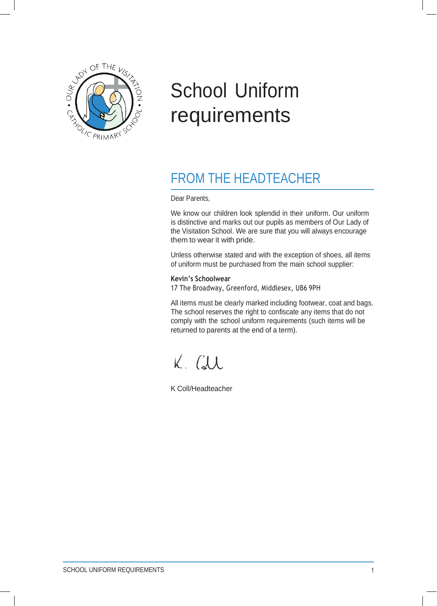

# School Uniform requirements

# FROM THE HEADTEACHER

Dear Parents,

We know our children look splendid in their uniform. Our uniform is distinctive and marks out our pupils as members of Our Lady of the Visitation School. We are sure that you will always encourage them to wear it with pride.

Unless otherwise stated and with the exception of shoes, all items of uniform must be purchased from the main school supplier:

#### **Kevin's Schoolwear**

17 The Broadway, Greenford, Middlesex, UB6 9PH

All items must be clearly marked including footwear, coat and bags. The school reserves the right to confiscate any items that do not comply with the school uniform requirements (such items will be returned to parents at the end of a term).

K. CLL

K Coll/Headteacher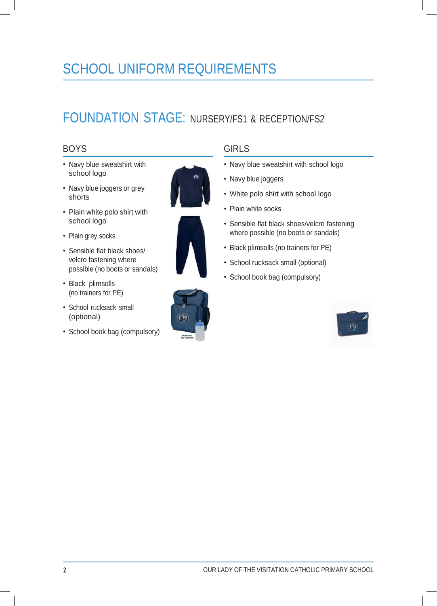# SCHOOL UNIFORM REQUIREMENTS

# FOUNDATION STAGE: NURSERY/FS1 & RECEPTION/FS2

# BOYS

- Navy blue sweatshirt with school logo
- Navy blue joggers or grey shorts
- Plain white polo shirt with school logo
- Plain grey socks
- Sensible flat black shoes/ velcro fastening where possible (no boots or sandals)
- Black plimsolls (no trainers for PE)
- School rucksack small (optional)
- School book bag (compulsory)





## GIRLS

- Navy blue sweatshirt with school logo
- Navy blue joggers
- White polo shirt with school logo
- Plain white socks
- Sensible flat black shoes/velcro fastening where possible (no boots or sandals)
- Black plimsolls (no trainers for PE)
- School rucksack small (optional)
- School book bag (compulsory)

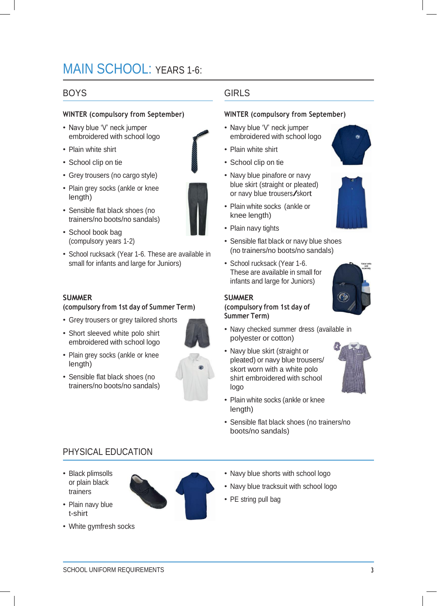# MAIN SCHOOL: YEARS 1-6:

### BOYS

#### **WINTER (compulsory from September)**

- Navy blue 'V' neck jumper embroidered with school logo
- Plain white shirt
- School clip on tie
- Grey trousers (no cargo style)
- Plain grey socks (ankle or knee length)
- Sensible flat black shoes (no trainers/no boots/no sandals)
- School book bag (compulsory years 1-2)
- School rucksack (Year 1-6. These are available in small for infants and large for Juniors)

#### **SUMMER**

#### **(compulsory from 1st day of Summer Term)**

- Grey trousers or grey tailored shorts
- Short sleeved white polo shirt embroidered with school logo
- Plain grey socks (ankle or knee length)
- Sensible flat black shoes (no trainers/no boots/no sandals)



# GIRLS

#### **WINTER (compulsory from September)**

- Navy blue 'V' neck jumper embroidered with school logo
- Plain white shirt
- School clip on tie
- Navy blue pinafore or navy blue skirt (straight or pleated) or navy blue trousers/skort
- Plain white socks (ankle or knee length)
- Plain navy tights
- Sensible flat black or navy blue shoes (no trainers/no boots/no sandals)
- School rucksack (Year 1-6. These are available in small for infants and large for Juniors)

#### **SUMMER**

**(compulsory from 1st day of Summer Term)**

- 
- Navy checked summer dress (available in polyester or cotton)
- Navy blue skirt (straight or pleated) or navy blue trousers/ skort worn with a white polo shirt embroidered with school logo
- Plain white socks (ankle or knee length)
- Sensible flat black shoes (no trainers/no boots/no sandals)

# PHYSICAL EDUCATION

- Black plimsolls or plain black trainers
- Plain navy blue t-shirt
- White gymfresh socks



- Navy blue tracksuit with school logo
- PE string pull bag